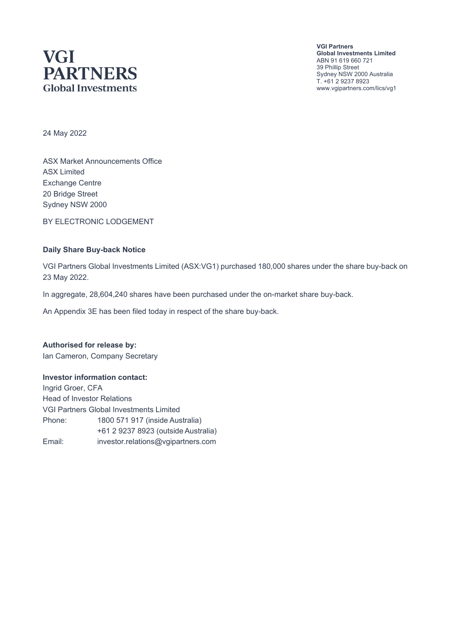# **VGI PARTNERS Global Investments**

**VGI Partners Global Investments Limited** ABN 91 619 660 721 39 Phillip Street Sydney NSW 2000 Australia T. +61 2 9237 8923 www.vgipartners.com/lics/vg1

24 May 2022

ASX Market Announcements Office ASX Limited Exchange Centre 20 Bridge Street Sydney NSW 2000

BY ELECTRONIC LODGEMENT

#### **Daily Share Buy-back Notice**

VGI Partners Global Investments Limited (ASX:VG1) purchased 180,000 shares under the share buy-back on 23 May 2022.

In aggregate, 28,604,240 shares have been purchased under the on-market share buy-back.

An Appendix 3E has been filed today in respect of the share buy-back.

**Authorised for release by:** Ian Cameron, Company Secretary

#### **Investor information contact:**

Ingrid Groer, CFA Head of Investor Relations VGI Partners Global Investments Limited Phone: 1800 571 917 (inside Australia) +61 2 9237 8923 (outside Australia) Email: investor.relations@vgipartners.com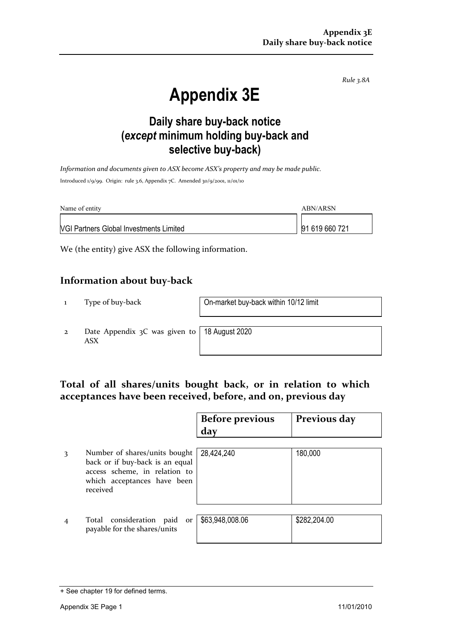*Rule 3.8A*

# **Appendix 3E**

## **Daily share buy-back notice (***except* **minimum holding buy-back and selective buy-back)**

*Information and documents given to ASX become ASX's property and may be made public.* Introduced 1/9/99. Origin: rule 3.6, Appendix 7C. Amended 30/9/2001, 11/01/10

| Name of entity                                 | ABN/ARSN       |
|------------------------------------------------|----------------|
| <b>VGI Partners Global Investments Limited</b> | 91 619 660 721 |

We (the entity) give ASX the following information.

#### **Information about buy-back**

1 Type of buy-back On-market buy-back within 10/12 limit

2 Date Appendix 3C was given to ASX

18 August 2020

### **Total of all shares/units bought back, or in relation to which acceptances have been received, before, and on, previous day**

|   |                                                                                                                                              | <b>Before previous</b><br>day | Previous day |
|---|----------------------------------------------------------------------------------------------------------------------------------------------|-------------------------------|--------------|
| 3 | Number of shares/units bought<br>back or if buy-back is an equal<br>access scheme, in relation to<br>which acceptances have been<br>received | 28,424,240                    | 180,000      |
|   | Total consideration paid<br>or<br>payable for the shares/units                                                                               | \$63,948,008.06               | \$282,204.00 |

<sup>+</sup> See chapter 19 for defined terms.